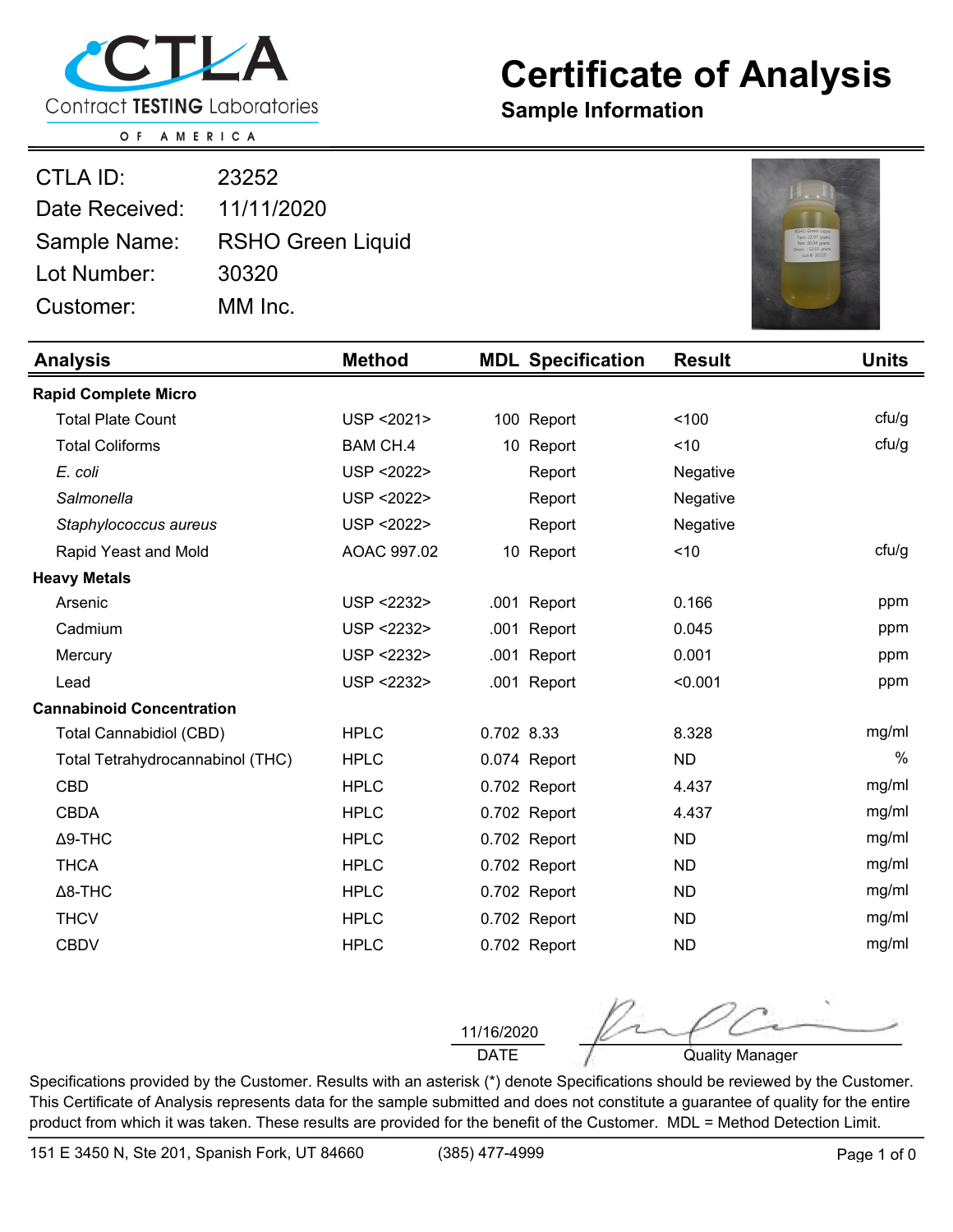

## **Certificate of Analysis**

**Sample Information**

O F AMERICA

| CTLA ID:       | 23252                    |
|----------------|--------------------------|
| Date Received: | 11/11/2020               |
| Sample Name:   | <b>RSHO Green Liquid</b> |
| Lot Number:    | 30320                    |
| Customer:      | MM Inc.                  |



| <b>Analysis</b>                  | <b>Method</b>   |            | <b>MDL Specification</b> | <b>Result</b> | <b>Units</b> |
|----------------------------------|-----------------|------------|--------------------------|---------------|--------------|
| <b>Rapid Complete Micro</b>      |                 |            |                          |               |              |
| <b>Total Plate Count</b>         | USP < 2021>     |            | 100 Report               | 100           | ctu/g        |
| <b>Total Coliforms</b>           | <b>BAM CH.4</b> |            | 10 Report                | ~10           | ctu/g        |
| E. coli                          | USP < 2022>     |            | Report                   | Negative      |              |
| Salmonella                       | USP < 2022>     |            | Report                   | Negative      |              |
| Staphylococcus aureus            | USP < 2022>     |            | Report                   | Negative      |              |
| Rapid Yeast and Mold             | AOAC 997.02     |            | 10 Report                | < 10          | ctu/g        |
| <b>Heavy Metals</b>              |                 |            |                          |               |              |
| Arsenic                          | USP <2232>      |            | .001 Report              | 0.166         | ppm          |
| Cadmium                          | USP <2232>      |            | .001 Report              | 0.045         | ppm          |
| Mercury                          | USP <2232>      |            | .001 Report              | 0.001         | ppm          |
| Lead                             | USP <2232>      |            | .001 Report              | < 0.001       | ppm          |
| <b>Cannabinoid Concentration</b> |                 |            |                          |               |              |
| <b>Total Cannabidiol (CBD)</b>   | <b>HPLC</b>     | 0.702 8.33 |                          | 8.328         | mg/ml        |
| Total Tetrahydrocannabinol (THC) | <b>HPLC</b>     |            | 0.074 Report             | <b>ND</b>     | $\%$         |
| <b>CBD</b>                       | <b>HPLC</b>     |            | 0.702 Report             | 4.437         | mg/ml        |
| <b>CBDA</b>                      | <b>HPLC</b>     |            | 0.702 Report             | 4.437         | mg/ml        |
| $\Delta$ 9-THC                   | <b>HPLC</b>     |            | 0.702 Report             | <b>ND</b>     | mg/ml        |
| <b>THCA</b>                      | <b>HPLC</b>     |            | 0.702 Report             | <b>ND</b>     | mg/ml        |
| $\Delta$ 8-THC                   | <b>HPLC</b>     |            | 0.702 Report             | <b>ND</b>     | mg/ml        |
| <b>THCV</b>                      | <b>HPLC</b>     |            | 0.702 Report             | <b>ND</b>     | mg/ml        |
| <b>CBDV</b>                      | <b>HPLC</b>     |            | 0.702 Report             | <b>ND</b>     | mg/ml        |

11/16/2020

DATE **Quality Manager** 

Specifications provided by the Customer. Results with an asterisk (\*) denote Specifications should be reviewed by the Customer. This Certificate of Analysis represents data for the sample submitted and does not constitute a guarantee of quality for the entire product from which it was taken. These results are provided for the benefit of the Customer. MDL = Method Detection Limit.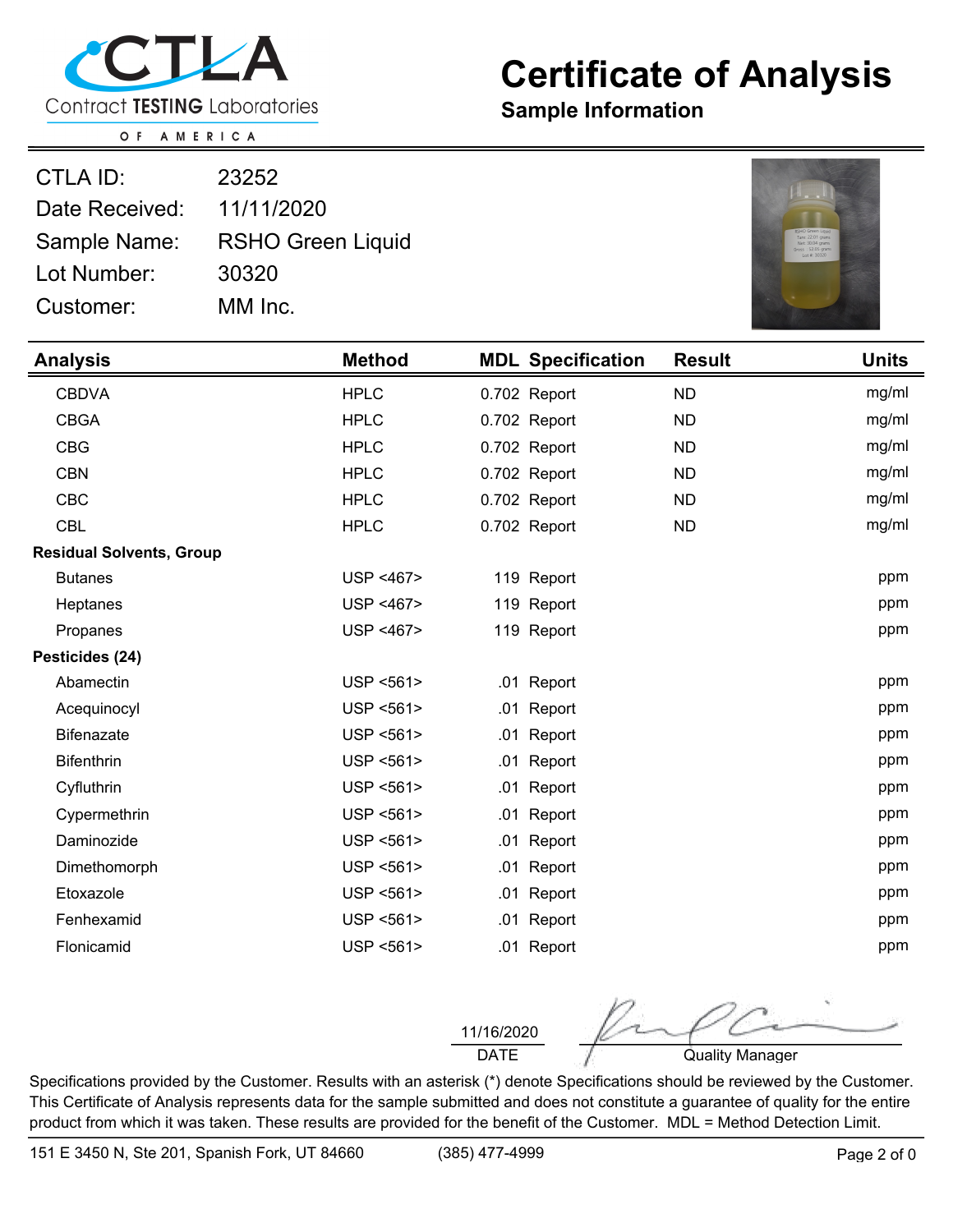

## **Certificate of Analysis**

**Sample Information**

O F AMERICA

| CTLA ID:       | 23252                    |
|----------------|--------------------------|
| Date Received: | 11/11/2020               |
| Sample Name:   | <b>RSHO Green Liquid</b> |
| Lot Number:    | 30320                    |
| Customer:      | MM Inc.                  |



| <b>Analysis</b>                 | <b>Method</b> |              | <b>MDL Specification</b> | <b>Result</b> | <b>Units</b> |
|---------------------------------|---------------|--------------|--------------------------|---------------|--------------|
| <b>CBDVA</b>                    | <b>HPLC</b>   | 0.702 Report |                          | <b>ND</b>     | mg/ml        |
| <b>CBGA</b>                     | <b>HPLC</b>   | 0.702 Report |                          | <b>ND</b>     | mg/ml        |
| <b>CBG</b>                      | <b>HPLC</b>   | 0.702 Report |                          | <b>ND</b>     | mg/ml        |
| <b>CBN</b>                      | <b>HPLC</b>   | 0.702 Report |                          | <b>ND</b>     | mg/ml        |
| <b>CBC</b>                      | <b>HPLC</b>   | 0.702 Report |                          | <b>ND</b>     | mg/ml        |
| <b>CBL</b>                      | <b>HPLC</b>   | 0.702 Report |                          | <b>ND</b>     | mg/ml        |
| <b>Residual Solvents, Group</b> |               |              |                          |               |              |
| <b>Butanes</b>                  | USP <467>     | 119 Report   |                          |               | ppm          |
| Heptanes                        | USP <467>     | 119 Report   |                          |               | ppm          |
| Propanes                        | USP <467>     | 119 Report   |                          |               | ppm          |
| Pesticides (24)                 |               |              |                          |               |              |
| Abamectin                       | USP <561>     | .01 Report   |                          |               | ppm          |
| Acequinocyl                     | USP <561>     | .01          | Report                   |               | ppm          |
| <b>Bifenazate</b>               | USP <561>     | .01 Report   |                          |               | ppm          |
| <b>Bifenthrin</b>               | USP <561>     | .01 Report   |                          |               | ppm          |
| Cyfluthrin                      | USP <561>     | .01          | Report                   |               | ppm          |
| Cypermethrin                    | USP <561>     | .01          | Report                   |               | ppm          |
| Daminozide                      | USP <561>     | .01          | Report                   |               | ppm          |
| Dimethomorph                    | USP <561>     | .01 Report   |                          |               | ppm          |
| Etoxazole                       | USP <561>     | .01 Report   |                          |               | ppm          |
| Fenhexamid                      | USP <561>     | .01          | Report                   |               | ppm          |
| Flonicamid                      | USP <561>     | .01 Report   |                          |               | ppm          |

11/16/2020

DATE **Quality Manager** 

Specifications provided by the Customer. Results with an asterisk (\*) denote Specifications should be reviewed by the Customer. This Certificate of Analysis represents data for the sample submitted and does not constitute a guarantee of quality for the entire product from which it was taken. These results are provided for the benefit of the Customer. MDL = Method Detection Limit.